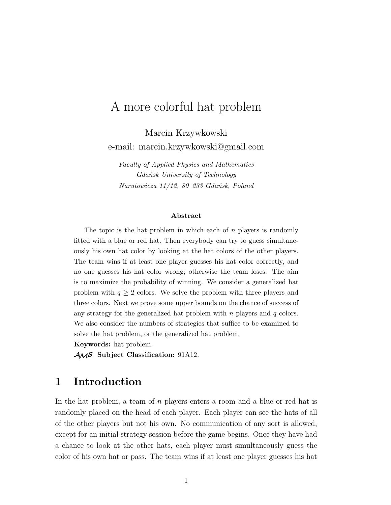# A more colorful hat problem

Marcin Krzywkowski e-mail: marcin.krzywkowski@gmail.com

*Faculty of Applied Physics and Mathematics Gdańsk University of Technology Narutowicza 11/12, 80–233 Gdańsk, Poland*

#### **Abstract**

The topic is the hat problem in which each of  $n$  players is randomly fitted with a blue or red hat. Then everybody can try to guess simultaneously his own hat color by looking at the hat colors of the other players. The team wins if at least one player guesses his hat color correctly, and no one guesses his hat color wrong; otherwise the team loses. The aim is to maximize the probability of winning. We consider a generalized hat problem with  $q \geq 2$  colors. We solve the problem with three players and three colors. Next we prove some upper bounds on the chance of success of any strategy for the generalized hat problem with  $n$  players and  $q$  colors. We also consider the numbers of strategies that suffice to be examined to solve the hat problem, or the generalized hat problem.

**Keywords:** hat problem.

AMS **Subject Classification:** 91A12.

# **1 Introduction**

In the hat problem, a team of n players enters a room and a blue or red hat is randomly placed on the head of each player. Each player can see the hats of all of the other players but not his own. No communication of any sort is allowed, except for an initial strategy session before the game begins. Once they have had a chance to look at the other hats, each player must simultaneously guess the color of his own hat or pass. The team wins if at least one player guesses his hat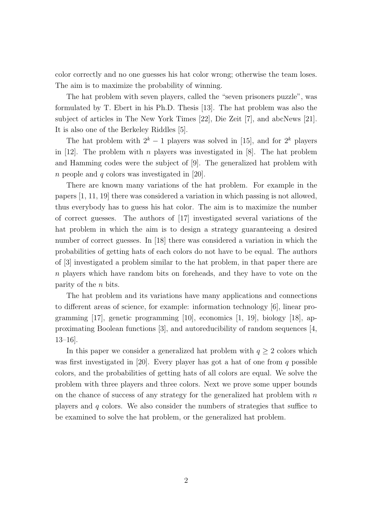color correctly and no one guesses his hat color wrong; otherwise the team loses. The aim is to maximize the probability of winning.

The hat problem with seven players, called the "seven prisoners puzzle", was formulated by T. Ebert in his Ph.D. Thesis [13]. The hat problem was also the subject of articles in The New York Times [22], Die Zeit [7], and abcNews [21]. It is also one of the Berkeley Riddles [5].

The hat problem with  $2^k - 1$  players was solved in [15], and for  $2^k$  players in [12]. The problem with n players was investigated in [8]. The hat problem and Hamming codes were the subject of [9]. The generalized hat problem with *n* people and  $q$  colors was investigated in [20].

There are known many variations of the hat problem. For example in the papers [1, 11, 19] there was considered a variation in which passing is not allowed, thus everybody has to guess his hat color. The aim is to maximize the number of correct guesses. The authors of [17] investigated several variations of the hat problem in which the aim is to design a strategy guaranteeing a desired number of correct guesses. In [18] there was considered a variation in which the probabilities of getting hats of each colors do not have to be equal. The authors of [3] investigated a problem similar to the hat problem, in that paper there are n players which have random bits on foreheads, and they have to vote on the parity of the n bits.

The hat problem and its variations have many applications and connections to different areas of science, for example: information technology [6], linear programming  $|17|$ , genetic programming  $|10|$ , economics  $|1, 19|$ , biology  $|18|$ , approximating Boolean functions [3], and autoreducibility of random sequences [4, 13–16].

In this paper we consider a generalized hat problem with  $q \geq 2$  colors which was first investigated in [20]. Every player has got a hat of one from  $q$  possible colors, and the probabilities of getting hats of all colors are equal. We solve the problem with three players and three colors. Next we prove some upper bounds on the chance of success of any strategy for the generalized hat problem with  $n$ players and  $q$  colors. We also consider the numbers of strategies that suffice to be examined to solve the hat problem, or the generalized hat problem.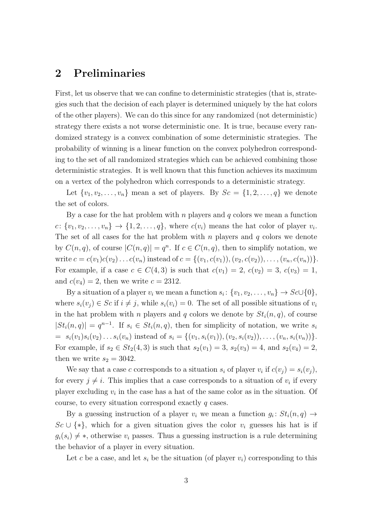### **2 Preliminaries**

First, let us observe that we can confine to deterministic strategies (that is, strategies such that the decision of each player is determined uniquely by the hat colors of the other players). We can do this since for any randomized (not deterministic) strategy there exists a not worse deterministic one. It is true, because every randomized strategy is a convex combination of some deterministic strategies. The probability of winning is a linear function on the convex polyhedron corresponding to the set of all randomized strategies which can be achieved combining those deterministic strategies. It is well known that this function achieves its maximum on a vertex of the polyhedron which corresponds to a deterministic strategy.

Let  $\{v_1, v_2, \ldots, v_n\}$  mean a set of players. By  $Sc = \{1, 2, \ldots, q\}$  we denote the set of colors.

By a case for the hat problem with  $n$  players and  $q$  colors we mean a function  $c: \{v_1, v_2, \ldots, v_n\} \to \{1, 2, \ldots, q\},$  where  $c(v_i)$  means the hat color of player  $v_i$ . The set of all cases for the hat problem with  $n$  players and  $q$  colors we denote by  $C(n, q)$ , of course  $|C(n, q)| = q^n$ . If  $c \in C(n, q)$ , then to simplify notation, we write  $c = c(v_1)c(v_2)...c(v_n)$  instead of  $c = \{(v_1, c(v_1)), (v_2, c(v_2)), ..., (v_n, c(v_n))\}.$ For example, if a case  $c \in C(4,3)$  is such that  $c(v_1) = 2$ ,  $c(v_2) = 3$ ,  $c(v_3) = 1$ , and  $c(v_4) = 2$ , then we write  $c = 2312$ .

By a situation of a player  $v_i$  we mean a function  $s_i: \{v_1, v_2, \ldots, v_n\} \to Sc \cup \{0\},$ where  $s_i(v_j) \in Sc$  if  $i \neq j$ , while  $s_i(v_i) = 0$ . The set of all possible situations of  $v_i$ in the hat problem with n players and q colors we denote by  $St_i(n, q)$ , of course  $|St_i(n,q)| = q^{n-1}$ . If  $s_i \in St_i(n,q)$ , then for simplicity of notation, we write  $s_i$  $= s_i(v_1)s_i(v_2)\ldots s_i(v_n)$  instead of  $s_i = \{(v_1, s_i(v_1)), (v_2, s_i(v_2)), \ldots, (v_n, s_i(v_n))\}.$ For example, if  $s_2 \in St_2(4,3)$  is such that  $s_2(v_1) = 3$ ,  $s_2(v_3) = 4$ , and  $s_2(v_4) = 2$ , then we write  $s_2 = 3042$ .

We say that a case c corresponds to a situation  $s_i$  of player  $v_i$  if  $c(v_j) = s_i(v_j)$ , for every  $j \neq i$ . This implies that a case corresponds to a situation of  $v_i$  if every player excluding  $v_i$  in the case has a hat of the same color as in the situation. Of course, to every situation correspond exactly q cases.

By a guessing instruction of a player  $v_i$  we mean a function  $g_i: St_i(n,q) \to$  $Sc \cup \{*\}$ , which for a given situation gives the color  $v_i$  guesses his hat is if  $g_i(s_i) \neq *$ , otherwise  $v_i$  passes. Thus a guessing instruction is a rule determining the behavior of a player in every situation.

Let c be a case, and let  $s_i$  be the situation (of player  $v_i$ ) corresponding to this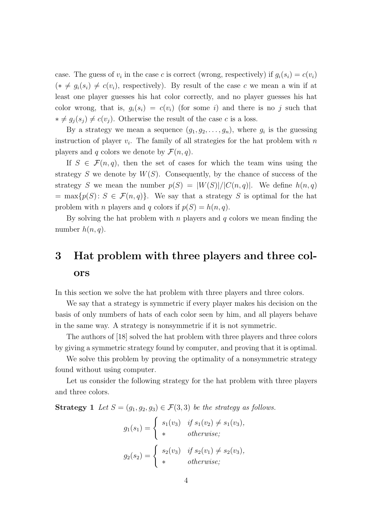case. The guess of  $v_i$  in the case c is correct (wrong, respectively) if  $g_i(s_i) = c(v_i)$  $(* \neq g_i(s_i) \neq c(v_i)$ , respectively). By result of the case c we mean a win if at least one player guesses his hat color correctly, and no player guesses his hat color wrong, that is,  $g_i(s_i) = c(v_i)$  (for some i) and there is no j such that  $* ≠ g_j(s_j) ≠ c(v_j)$ . Otherwise the result of the case c is a loss.

By a strategy we mean a sequence  $(g_1, g_2, \ldots, g_n)$ , where  $g_i$  is the guessing instruction of player  $v_i$ . The family of all strategies for the hat problem with  $n$ players and q colors we denote by  $\mathcal{F}(n, q)$ .

If  $S \in \mathcal{F}(n,q)$ , then the set of cases for which the team wins using the strategy S we denote by  $W(S)$ . Consequently, by the chance of success of the strategy S we mean the number  $p(S) = |W(S)|/|C(n,q)|$ . We define  $h(n,q)$  $=$  max $\{p(S): S \in \mathcal{F}(n,q)\}.$  We say that a strategy S is optimal for the hat problem with *n* players and *q* colors if  $p(S) = h(n, q)$ .

By solving the hat problem with n players and q colors we mean finding the number  $h(n, q)$ .

# **3 Hat problem with three players and three colors**

In this section we solve the hat problem with three players and three colors.

We say that a strategy is symmetric if every player makes his decision on the basis of only numbers of hats of each color seen by him, and all players behave in the same way. A strategy is nonsymmetric if it is not symmetric.

The authors of [18] solved the hat problem with three players and three colors by giving a symmetric strategy found by computer, and proving that it is optimal.

We solve this problem by proving the optimality of a nonsymmetric strategy found without using computer.

Let us consider the following strategy for the hat problem with three players and three colors.

**Strategy 1** *Let*  $S = (g_1, g_2, g_3) \in \mathcal{F}(3, 3)$  *be the strategy as follows.* 

$$
g_1(s_1) = \begin{cases} s_1(v_3) & \text{if } s_1(v_2) \neq s_1(v_3), \\ * & \text{otherwise}; \end{cases}
$$

$$
g_2(s_2) = \begin{cases} s_2(v_3) & \text{if } s_2(v_1) \neq s_2(v_3), \\ * & \text{otherwise}; \end{cases}
$$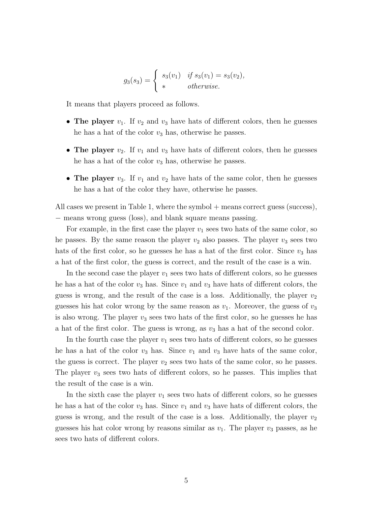$$
g_3(s_3) = \begin{cases} s_3(v_1) & \text{if } s_3(v_1) = s_3(v_2), \\ * & \text{otherwise.} \end{cases}
$$

It means that players proceed as follows.

- **The player**  $v_1$ . If  $v_2$  and  $v_3$  have hats of different colors, then he guesses he has a hat of the color  $v_3$  has, otherwise he passes.
- **The player**  $v_2$ . If  $v_1$  and  $v_3$  have hats of different colors, then he guesses he has a hat of the color  $v_3$  has, otherwise he passes.
- **The player**  $v_3$ . If  $v_1$  and  $v_2$  have hats of the same color, then he guesses he has a hat of the color they have, otherwise he passes.

All cases we present in Table 1, where the symbol + means correct guess (success), − means wrong guess (loss), and blank square means passing.

For example, in the first case the player  $v_1$  sees two hats of the same color, so he passes. By the same reason the player  $v_2$  also passes. The player  $v_3$  sees two hats of the first color, so he guesses he has a hat of the first color. Since  $v_3$  has a hat of the first color, the guess is correct, and the result of the case is a win.

In the second case the player  $v_1$  sees two hats of different colors, so he guesses he has a hat of the color  $v_3$  has. Since  $v_1$  and  $v_3$  have hats of different colors, the guess is wrong, and the result of the case is a loss. Additionally, the player  $v_2$ guesses his hat color wrong by the same reason as  $v_1$ . Moreover, the guess of  $v_3$ is also wrong. The player  $v_3$  sees two hats of the first color, so he guesses he has a hat of the first color. The guess is wrong, as  $v_3$  has a hat of the second color.

In the fourth case the player  $v_1$  sees two hats of different colors, so he guesses he has a hat of the color  $v_3$  has. Since  $v_1$  and  $v_3$  have hats of the same color, the guess is correct. The player  $v_2$  sees two hats of the same color, so he passes. The player  $v_3$  sees two hats of different colors, so he passes. This implies that the result of the case is a win.

In the sixth case the player  $v_1$  sees two hats of different colors, so he guesses he has a hat of the color  $v_3$  has. Since  $v_1$  and  $v_3$  have hats of different colors, the guess is wrong, and the result of the case is a loss. Additionally, the player  $v_2$ guesses his hat color wrong by reasons similar as  $v_1$ . The player  $v_3$  passes, as he sees two hats of different colors.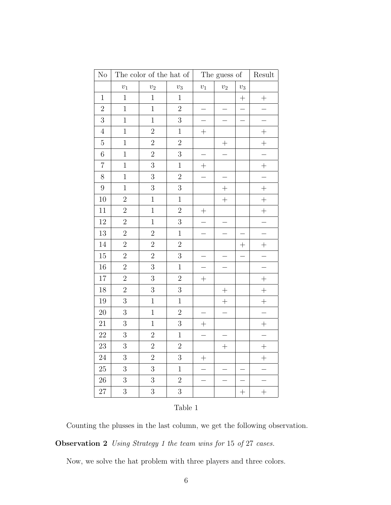| $\rm No$         | The color of the hat of |                |                | The guess of |                          |        | Result                   |
|------------------|-------------------------|----------------|----------------|--------------|--------------------------|--------|--------------------------|
|                  | $v_1$                   | $v_2$          | $\upsilon_3$   | $\upsilon_1$ | $v_2$                    | $v_3$  |                          |
| $\mathbf{1}$     | $\overline{1}$          | $\mathbf{1}$   | $\mathbf{1}$   |              |                          | $^{+}$ | $^{+}$                   |
| $\overline{2}$   | $\mathbf{1}$            | $\,1$          | $\overline{2}$ |              |                          |        |                          |
| 3                | $\mathbf{1}$            | $\mathbf{1}$   | $\overline{3}$ |              |                          |        |                          |
| $\,4\,$          | $\mathbf{1}$            | $\overline{2}$ | $\mathbf{1}$   | $^{+}$       |                          |        | $+$                      |
| $\overline{5}$   | $\mathbf{1}$            | $\overline{2}$ | $\overline{2}$ |              | $^{+}$                   |        | $^{+}$                   |
| $\,6$            | $\mathbf{1}$            | $\overline{2}$ | 3              |              |                          |        |                          |
| $\overline{7}$   | $\overline{1}$          | 3              | $\mathbf{1}$   | $^{+}$       |                          |        | $^{+}$                   |
| 8                | $\mathbf{1}$            | 3              | $\overline{2}$ |              | $\overline{\phantom{0}}$ |        |                          |
| $\boldsymbol{9}$ | $\mathbf{1}$            | 3              | $\overline{3}$ |              | $^{+}$                   |        | $+$                      |
| 10               | $\overline{2}$          | $\mathbf{1}$   | $\,1$          |              | $\! + \!$                |        | $^{+}$                   |
| $11\,$           | $\overline{2}$          | $\overline{1}$ | $\overline{2}$ | $^{+}$       |                          |        | $^{+}$                   |
| 12               | $\overline{2}$          | $\mathbf 1$    | 3              |              |                          |        |                          |
| 13               | $\overline{2}$          | $\overline{2}$ | $\mathbf{1}$   |              |                          |        |                          |
| 14               | $\overline{2}$          | $\overline{2}$ | $\overline{2}$ |              |                          | $^{+}$ | $^{+}$                   |
| 15               | $\overline{2}$          | $\overline{2}$ | 3              |              |                          |        |                          |
| 16               | $\overline{2}$          | 3              | $\mathbf{1}$   |              |                          |        |                          |
| 17               | $\overline{2}$          | 3              | $\overline{2}$ | $^{+}$       |                          |        | $^{+}$                   |
| 18               | $\overline{2}$          | 3              | $\overline{3}$ |              | $^{+}$                   |        | $+$                      |
| 19               | 3                       | $\mathbf{1}$   | $\mathbf{1}$   |              | $^{+}$                   |        | $+$                      |
| $20\,$           | $\overline{3}$          | $\mathbf{1}$   | $\overline{2}$ |              | $\overline{a}$           |        | $\overline{\phantom{0}}$ |
| $21\,$           | $\overline{3}$          | $\mathbf 1$    | 3              | $^{+}$       |                          |        | $^{+}$                   |
| 22               | 3                       | $\overline{2}$ | $\mathbf{1}$   |              |                          |        |                          |
| 23               | $\overline{3}$          | $\overline{2}$ | $\overline{2}$ |              | $^{+}$                   |        | $+$                      |
| 24               | $\overline{3}$          | $\overline{2}$ | $\overline{3}$ | $^{+}$       |                          |        | $^{+}$                   |
| $25\,$           | $\overline{3}$          | 3              | $\mathbf{1}$   |              |                          |        |                          |
| ${\bf 26}$       | 3                       | 3              | $\overline{2}$ |              |                          |        |                          |
| 27               | 3                       | 3              | 3              |              |                          | $^{+}$ | $+$                      |

#### Table 1

Counting the plusses in the last column, we get the following observation.

**Observation 2** *Using Strategy 1 the team wins for* 15 *of* 27 *cases.*

Now, we solve the hat problem with three players and three colors.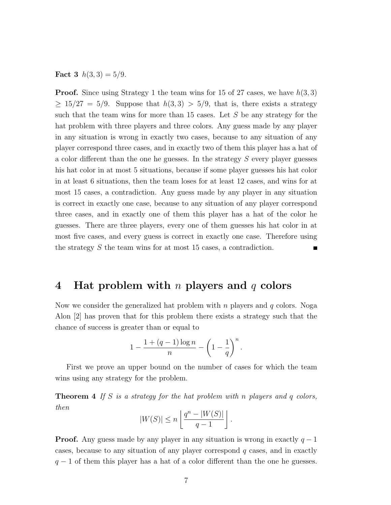**Fact 3**  $h(3,3) = 5/9$ .

**Proof.** Since using Strategy 1 the team wins for 15 of 27 cases, we have  $h(3,3)$  $\geq 15/27 = 5/9$ . Suppose that  $h(3,3) > 5/9$ , that is, there exists a strategy such that the team wins for more than 15 cases. Let S be any strategy for the hat problem with three players and three colors. Any guess made by any player in any situation is wrong in exactly two cases, because to any situation of any player correspond three cases, and in exactly two of them this player has a hat of a color different than the one he guesses. In the strategy S every player guesses his hat color in at most 5 situations, because if some player guesses his hat color in at least 6 situations, then the team loses for at least 12 cases, and wins for at most 15 cases, a contradiction. Any guess made by any player in any situation is correct in exactly one case, because to any situation of any player correspond three cases, and in exactly one of them this player has a hat of the color he guesses. There are three players, every one of them guesses his hat color in at most five cases, and every guess is correct in exactly one case. Therefore using the strategy S the team wins for at most 15 cases, a contradiction.

#### **4 Hat problem with** n **players and** q **colors**

Now we consider the generalized hat problem with n players and q colors. Noga Alon [2] has proven that for this problem there exists a strategy such that the chance of success is greater than or equal to

$$
1 - \frac{1 + (q-1)\log n}{n} - \left(1 - \frac{1}{q}\right)^n.
$$

First we prove an upper bound on the number of cases for which the team wins using any strategy for the problem.

**Theorem 4** *If* S *is a strategy for the hat problem with* n *players and* q *colors, then*

$$
|W(S)| \le n \left\lfloor \frac{q^n - |W(S)|}{q - 1} \right\rfloor.
$$

**Proof.** Any guess made by any player in any situation is wrong in exactly  $q - 1$ cases, because to any situation of any player correspond q cases, and in exactly  $q-1$  of them this player has a hat of a color different than the one he guesses.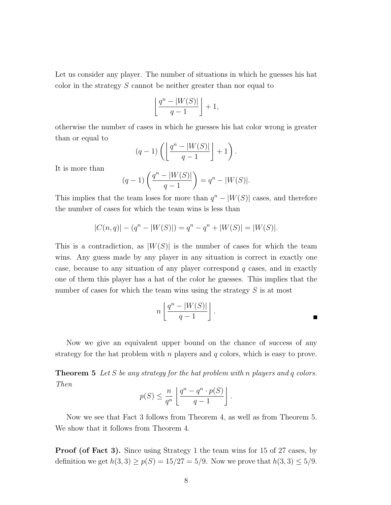Let us consider any player. The number of situations in which he guesses his hat color in the strategy S cannot be neither greater than nor equal to

$$
\left\lfloor \frac{q^n - |W(S)|}{q - 1} \right\rfloor + 1,
$$

otherwise the number of cases in which he guesses his hat color wrong is greater than or equal to

$$
(q-1)\left(\left\lfloor\frac{q^n-|W(S)|}{q-1}\right\rfloor+1\right).
$$

It is more than

$$
(q-1)\left(\frac{q^{n} - |W(S)|}{q-1}\right) = q^{n} - |W(S)|.
$$

This implies that the team loses for more than  $q^{n} - |W(S)|$  cases, and therefore the number of cases for which the team wins is less than

$$
|C(n,q)| - (q^n - |W(S)|) = q^n - q^n + |W(S)| = |W(S)|.
$$

This is a contradiction, as  $|W(S)|$  is the number of cases for which the team wins. Any guess made by any player in any situation is correct in exactly one case, because to any situation of any player correspond q cases, and in exactly one of them this player has a hat of the color he guesses. This implies that the number of cases for which the team wins using the strategy  $S$  is at most

$$
n\left\lfloor \frac{q^n - |W(S)|}{q-1} \right\rfloor.
$$

Now we give an equivalent upper bound on the chance of success of any strategy for the hat problem with  $n$  players and  $q$  colors, which is easy to prove.

**Theorem 5** *Let* S *be any strategy for the hat problem with* n *players and* q *colors. Then*

$$
p(S) \le \frac{n}{q^n} \left[ \frac{q^n - q^n \cdot p(S)}{q - 1} \right].
$$

Now we see that Fact 3 follows from Theorem 4, as well as from Theorem 5. We show that it follows from Theorem 4.

**Proof (of Fact 3).** Since using Strategy 1 the team wins for 15 of 27 cases, by definition we get  $h(3,3) \ge p(S) = 15/27 = 5/9$ . Now we prove that  $h(3,3) \le 5/9$ .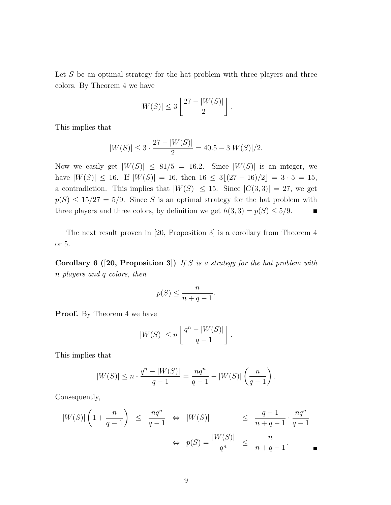Let  $S$  be an optimal strategy for the hat problem with three players and three colors. By Theorem 4 we have

$$
|W(S)| \leq 3\left\lfloor \frac{27 - |W(S)|}{2} \right\rfloor.
$$

This implies that

$$
|W(S)| \le 3 \cdot \frac{27 - |W(S)|}{2} = 40.5 - 3|W(S)|/2.
$$

Now we easily get  $|W(S)| \leq 81/5 = 16.2$ . Since  $|W(S)|$  is an integer, we have  $|W(S)| \le 16$ . If  $|W(S)| = 16$ , then  $16 \le 3[(27 - 16)/2] = 3 \cdot 5 = 15$ , a contradiction. This implies that  $|W(S)| \leq 15$ . Since  $|C(3,3)| = 27$ , we get  $p(S) \leq 15/27 = 5/9$ . Since S is an optimal strategy for the hat problem with three players and three colors, by definition we get  $h(3,3) = p(S) \le 5/9$ .  $\blacksquare$ 

The next result proven in [20, Proposition 3] is a corollary from Theorem 4 or 5.

**Corollary 6 ([20, Proposition 3])** *If* S *is a strategy for the hat problem with* n *players and* q *colors, then*

$$
p(S) \le \frac{n}{n+q-1}.
$$

**Proof.** By Theorem 4 we have

$$
|W(S)| \le n \left\lfloor \frac{q^n - |W(S)|}{q - 1} \right\rfloor.
$$

This implies that

$$
|W(S)| \le n \cdot \frac{q^n - |W(S)|}{q - 1} = \frac{nq^n}{q - 1} - |W(S)| \left(\frac{n}{q - 1}\right).
$$

Consequently,

$$
|W(S)|\left(1+\frac{n}{q-1}\right) \le \frac{nq^n}{q-1} \Leftrightarrow |W(S)| \le \frac{q-1}{n+q-1} \cdot \frac{nq^n}{q-1}
$$
  

$$
\Leftrightarrow p(S) = \frac{|W(S)|}{q^n} \le \frac{n}{n+q-1}.
$$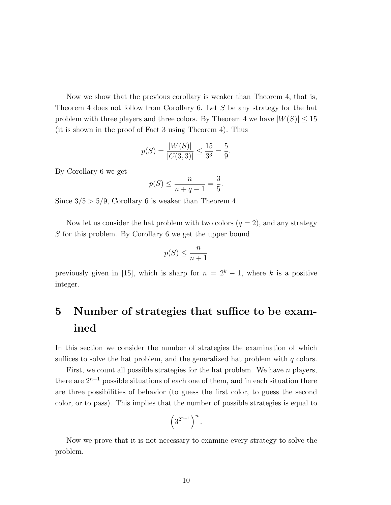Now we show that the previous corollary is weaker than Theorem 4, that is, Theorem 4 does not follow from Corollary 6. Let S be any strategy for the hat problem with three players and three colors. By Theorem 4 we have  $|W(S)| \leq 15$ (it is shown in the proof of Fact 3 using Theorem 4). Thus

$$
p(S) = \frac{|W(S)|}{|C(3,3)|} \le \frac{15}{3^3} = \frac{5}{9}.
$$

By Corollary 6 we get

$$
p(S) \le \frac{n}{n+q-1} = \frac{3}{5}.
$$

Since  $3/5 > 5/9$ , Corollary 6 is weaker than Theorem 4.

Now let us consider the hat problem with two colors  $(q = 2)$ , and any strategy S for this problem. By Corollary 6 we get the upper bound

$$
p(S) \le \frac{n}{n+1}
$$

previously given in [15], which is sharp for  $n = 2<sup>k</sup> - 1$ , where k is a positive integer.

# **5 Number of strategies that suffice to be examined**

In this section we consider the number of strategies the examination of which suffices to solve the hat problem, and the generalized hat problem with  $q$  colors.

First, we count all possible strategies for the hat problem. We have n players, there are  $2^{n-1}$  possible situations of each one of them, and in each situation there are three possibilities of behavior (to guess the first color, to guess the second color, or to pass). This implies that the number of possible strategies is equal to

$$
\left(3^{2^{n-1}}\right)^n.
$$

Now we prove that it is not necessary to examine every strategy to solve the problem.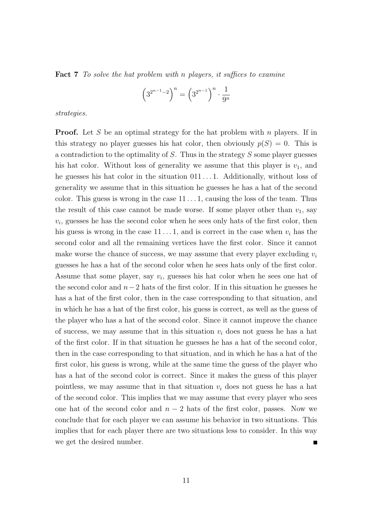**Fact 7** *To solve the hat problem with* n *players, it suffices to examine*

$$
\left(3^{2^{n-1}-2}\right)^n = \left(3^{2^{n-1}}\right)^n \cdot \frac{1}{9^n}
$$

*strategies.*

**Proof.** Let S be an optimal strategy for the hat problem with n players. If in this strategy no player guesses his hat color, then obviously  $p(S) = 0$ . This is a contradiction to the optimality of S. Thus in the strategy S some player guesses his hat color. Without loss of generality we assume that this player is  $v_1$ , and he guesses his hat color in the situation  $011 \ldots 1$ . Additionally, without loss of generality we assume that in this situation he guesses he has a hat of the second color. This guess is wrong in the case  $11 \dots 1$ , causing the loss of the team. Thus the result of this case cannot be made worse. If some player other than  $v_1$ , say  $v_i$ , guesses he has the second color when he sees only hats of the first color, then his guess is wrong in the case 11 . . . 1, and is correct in the case when  $v_i$  has the second color and all the remaining vertices have the first color. Since it cannot make worse the chance of success, we may assume that every player excluding  $v_i$ guesses he has a hat of the second color when he sees hats only of the first color. Assume that some player, say  $v_i$ , guesses his hat color when he sees one hat of the second color and  $n-2$  hats of the first color. If in this situation he guesses he has a hat of the first color, then in the case corresponding to that situation, and in which he has a hat of the first color, his guess is correct, as well as the guess of the player who has a hat of the second color. Since it cannot improve the chance of success, we may assume that in this situation  $v_i$  does not guess he has a hat of the first color. If in that situation he guesses he has a hat of the second color, then in the case corresponding to that situation, and in which he has a hat of the first color, his guess is wrong, while at the same time the guess of the player who has a hat of the second color is correct. Since it makes the guess of this player pointless, we may assume that in that situation  $v_i$  does not guess he has a hat of the second color. This implies that we may assume that every player who sees one hat of the second color and  $n-2$  hats of the first color, passes. Now we conclude that for each player we can assume his behavior in two situations. This implies that for each player there are two situations less to consider. In this way we get the desired number.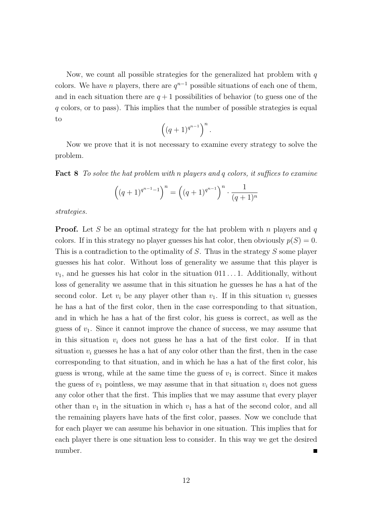Now, we count all possible strategies for the generalized hat problem with  $q$ colors. We have *n* players, there are  $q^{n-1}$  possible situations of each one of them, and in each situation there are  $q + 1$  possibilities of behavior (to guess one of the q colors, or to pass). This implies that the number of possible strategies is equal to

$$
\left((q+1)^{q^{n-1}}\right)^n.
$$

Now we prove that it is not necessary to examine every strategy to solve the problem.

**Fact 8** *To solve the hat problem with* n *players and* q *colors, it suffices to examine*

$$
((q+1)^{q^{n-1}-1})^n = ((q+1)^{q^{n-1}})^n \cdot \frac{1}{(q+1)^n}
$$

*strategies.*

**Proof.** Let S be an optimal strategy for the hat problem with n players and q colors. If in this strategy no player guesses his hat color, then obviously  $p(S) = 0$ . This is a contradiction to the optimality of S. Thus in the strategy S some player guesses his hat color. Without loss of generality we assume that this player is  $v_1$ , and he guesses his hat color in the situation  $011...1$ . Additionally, without loss of generality we assume that in this situation he guesses he has a hat of the second color. Let  $v_i$  be any player other than  $v_1$ . If in this situation  $v_i$  guesses he has a hat of the first color, then in the case corresponding to that situation, and in which he has a hat of the first color, his guess is correct, as well as the guess of  $v_1$ . Since it cannot improve the chance of success, we may assume that in this situation  $v_i$  does not guess he has a hat of the first color. If in that situation  $v_i$  guesses he has a hat of any color other than the first, then in the case corresponding to that situation, and in which he has a hat of the first color, his guess is wrong, while at the same time the guess of  $v_1$  is correct. Since it makes the guess of  $v_1$  pointless, we may assume that in that situation  $v_i$  does not guess any color other that the first. This implies that we may assume that every player other than  $v_1$  in the situation in which  $v_1$  has a hat of the second color, and all the remaining players have hats of the first color, passes. Now we conclude that for each player we can assume his behavior in one situation. This implies that for each player there is one situation less to consider. In this way we get the desired number.  $\blacksquare$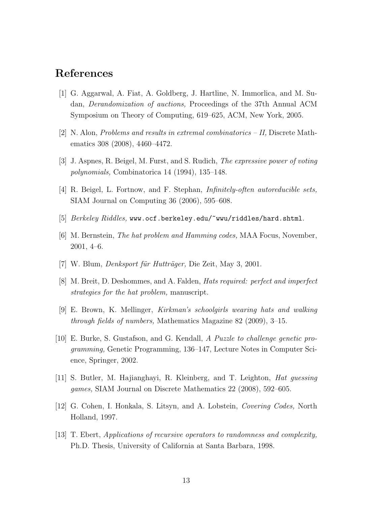## **References**

- [1] G. Aggarwal, A. Fiat, A. Goldberg, J. Hartline, N. Immorlica, and M. Sudan, *Derandomization of auctions,* Proceedings of the 37th Annual ACM Symposium on Theory of Computing, 619–625, ACM, New York, 2005.
- [2] N. Alon, *Problems and results in extremal combinatorics II,* Discrete Mathematics 308 (2008), 4460–4472.
- [3] J. Aspnes, R. Beigel, M. Furst, and S. Rudich, *The expressive power of voting polynomials,* Combinatorica 14 (1994), 135–148.
- [4] R. Beigel, L. Fortnow, and F. Stephan, *Infinitely-often autoreducible sets,* SIAM Journal on Computing 36 (2006), 595–608.
- [5] *Berkeley Riddles,* www.ocf.berkeley.edu/~wwu/riddles/hard.shtml.
- [6] M. Bernstein, *The hat problem and Hamming codes,* MAA Focus, November, 2001, 4–6.
- [7] W. Blum, *Denksport für Hutträger*, Die Zeit, May 3, 2001.
- [8] M. Breit, D. Deshommes, and A. Falden, *Hats required: perfect and imperfect strategies for the hat problem,* manuscript.
- [9] E. Brown, K. Mellinger, *Kirkman's schoolgirls wearing hats and walking through fields of numbers,* Mathematics Magazine 82 (2009), 3–15.
- [10] E. Burke, S. Gustafson, and G. Kendall, *A Puzzle to challenge genetic programming,* Genetic Programming, 136–147, Lecture Notes in Computer Science, Springer, 2002.
- [11] S. Butler, M. Hajianghayi, R. Kleinberg, and T. Leighton, *Hat guessing games,* SIAM Journal on Discrete Mathematics 22 (2008), 592–605.
- [12] G. Cohen, I. Honkala, S. Litsyn, and A. Lobstein, *Covering Codes,* North Holland, 1997.
- [13] T. Ebert, *Applications of recursive operators to randomness and complexity,* Ph.D. Thesis, University of California at Santa Barbara, 1998.